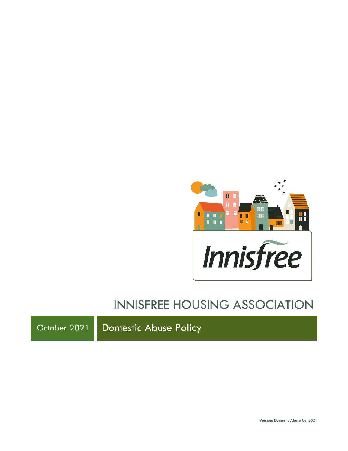

# INNISFREE HOUSING ASSOCIATION

October 2021 Domestic Abuse Policy

**Version: Domestic Abuse Oct 2021**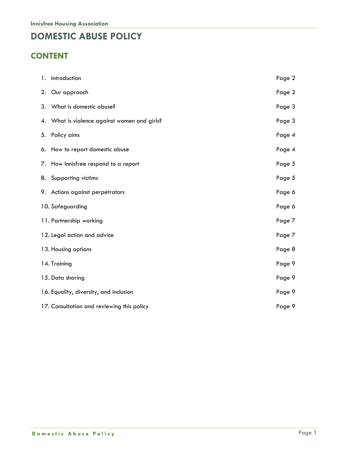## **DOMESTIC ABUSE POLICY**

## **CONTENT**

| 1. Introduction                              | Page 2 |
|----------------------------------------------|--------|
| 2. Our approach                              | Page 2 |
| 3. What is domestic abuse?                   | Page 3 |
| 4. What is violence against women and girls? | Page 3 |
| 5. Policy aims                               | Page 4 |
| 6. How to report domestic abuse              | Page 4 |
| 7. How Innisfree respond to a report         | Page 5 |
| 8. Supporting victims                        | Page 5 |
| 9. Actions against perpetrators              | Page 6 |
| 10. Safeguarding                             | Page 6 |
| 11. Partnership working                      | Page 7 |
| 12. Legal action and advice                  | Page 7 |
| 13. Housing options                          | Page 8 |
| 14. Training                                 | Page 9 |
| 15. Data sharing                             | Page 9 |
| 16. Equality, diversity, and inclusion       | Page 9 |
| 17. Consultation and reviewing this policy   | Page 9 |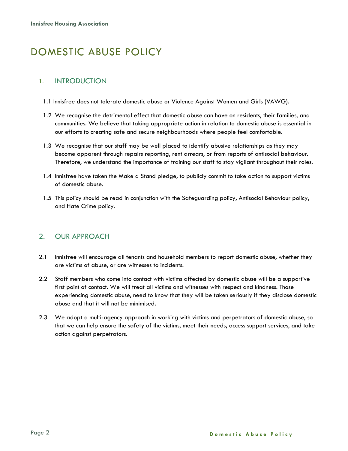## DOMESTIC ABUSE POLICY

#### 1. INTRODUCTION

- 1.1 Innisfree does not tolerate domestic abuse or Violence Against Women and Girls (VAWG).
- 1.2 We recognise the detrimental effect that domestic abuse can have on residents, their families, and communities. We believe that taking appropriate action in relation to domestic abuse is essential in our efforts to creating safe and secure neighbourhoods where people feel comfortable.
- 1.3 We recognise that our staff may be well placed to identify abusive relationships as they may become apparent through repairs reporting, rent arrears, or from reports of antisocial behaviour. Therefore, we understand the importance of training our staff to stay vigilant throughout their roles.
- 1.4 Innisfree have taken the Make a Stand pledge, to publicly commit to take action to support victims of domestic abuse.
- 1.5 This policy should be read in conjunction with the Safeguarding policy, Antisocial Behaviour policy, and Hate Crime policy.

#### 2. OUR APPROACH

- 2.1 Innisfree will encourage all tenants and household members to report domestic abuse, whether they are victims of abuse, or are witnesses to incidents.
- 2.2 Staff members who come into contact with victims affected by domestic abuse will be a supportive first point of contact. We will treat all victims and witnesses with respect and kindness. Those experiencing domestic abuse, need to know that they will be taken seriously if they disclose domestic abuse and that it will not be minimised.
- 2.3 We adopt a multi-agency approach in working with victims and perpetrators of domestic abuse, so that we can help ensure the safety of the victims, meet their needs, access support services, and take action against perpetrators.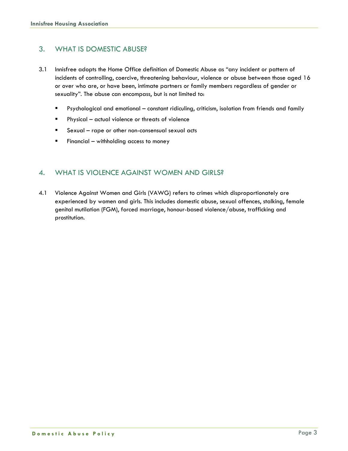### 3. WHAT IS DOMESTIC ABUSE?

- 3.1 Innisfree adopts the Home Office definition of Domestic Abuse as "any incident or pattern of incidents of controlling, coercive, threatening behaviour, violence or abuse between those aged 16 or over who are, or have been, intimate partners or family members regardless of gender or sexuality". The abuse can encompass, but is not limited to:
	- Psychological and emotional constant ridiculing, criticism, isolation from friends and family
	- Physical actual violence or threats of violence
	- Sexual rape or other non-consensual sexual acts
	- Financial withholding access to money

#### 4. WHAT IS VIOLENCE AGAINST WOMEN AND GIRLS?

4.1 Violence Against Women and Girls (VAWG) refers to crimes which disproportionately are experienced by women and girls. This includes domestic abuse, sexual offences, stalking, female genital mutilation (FGM), forced marriage, honour-based violence/abuse, trafficking and prostitution.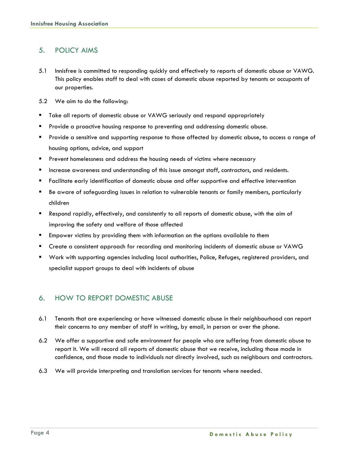#### 5. POLICY AIMS

- 5.1 Innisfree is committed to responding quickly and effectively to reports of domestic abuse or VAWG. This policy enables staff to deal with cases of domestic abuse reported by tenants or occupants of our properties.
- 5.2 We aim to do the following:
- Take all reports of domestic abuse or VAWG seriously and respond appropriately
- Provide a proactive housing response to preventing and addressing domestic abuse.
- Provide a sensitive and supporting response to those affected by domestic abuse, to access a range of housing options, advice, and support
- **•** Prevent homelessness and address the housing needs of victims where necessary
- Increase awareness and understanding of this issue amongst staff, contractors, and residents.
- Facilitate early identification of domestic abuse and offer supportive and effective intervention
- Be aware of safeguarding issues in relation to vulnerable tenants or family members, particularly children
- Respond rapidly, effectively, and consistently to all reports of domestic abuse, with the aim of improving the safety and welfare of those affected
- **Empower victims by providing them with information on the options available to them**
- Create a consistent approach for recording and monitoring incidents of domestic abuse or VAWG
- Work with supporting agencies including local authorities, Police, Refuges, registered providers, and specialist support groups to deal with incidents of abuse

#### 6. HOW TO REPORT DOMESTIC ABUSE

- 6.1 Tenants that are experiencing or have witnessed domestic abuse in their neighbourhood can report their concerns to any member of staff in writing, by email, in person or over the phone.
- 6.2 We offer a supportive and safe environment for people who are suffering from domestic abuse to report it. We will record all reports of domestic abuse that we receive, including those made in confidence, and those made to individuals not directly involved, such as neighbours and contractors.
- 6.3 We will provide interpreting and translation services for tenants where needed.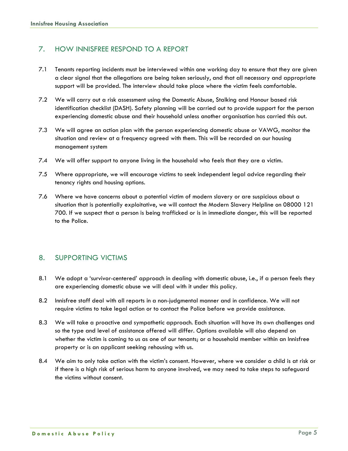#### 7. HOW INNISFREE RESPOND TO A REPORT

- 7.1 Tenants reporting incidents must be interviewed within one working day to ensure that they are given a clear signal that the allegations are being taken seriously, and that all necessary and appropriate support will be provided. The interview should take place where the victim feels comfortable.
- 7.2 We will carry out a risk assessment using the Domestic Abuse, Stalking and Honour based risk identification checklist (DASH). Safety planning will be carried out to provide support for the person experiencing domestic abuse and their household unless another organisation has carried this out.
- 7.3 We will agree an action plan with the person experiencing domestic abuse or VAWG, monitor the situation and review at a frequency agreed with them. This will be recorded on our housing management system
- 7.4 We will offer support to anyone living in the household who feels that they are a victim.
- 7.5 Where appropriate, we will encourage victims to seek independent legal advice regarding their tenancy rights and housing options.
- 7.6 Where we have concerns about a potential victim of modern slavery or are suspicious about a situation that is potentially exploitative, we will contact the Modern Slavery Helpline on 08000 121 700. If we suspect that a person is being trafficked or is in immediate danger, this will be reported to the Police.

#### 8. SUPPORTING VICTIMS

- 8.1 We adopt a 'survivor-centered' approach in dealing with domestic abuse, i.e., if a person feels they are experiencing domestic abuse we will deal with it under this policy.
- 8.2 Innisfree staff deal with all reports in a non-judgmental manner and in confidence. We will not require victims to take legal action or to contact the Police before we provide assistance.
- 8.3 We will take a proactive and sympathetic approach. Each situation will have its own challenges and so the type and level of assistance offered will differ. Options available will also depend on whether the victim is coming to us as one of our tenants; or a household member within an Innisfree property or is an applicant seeking rehousing with us.
- 8.4 We aim to only take action with the victim's consent. However, where we consider a child is at risk or if there is a high risk of serious harm to anyone involved, we may need to take steps to safeguard the victims without consent.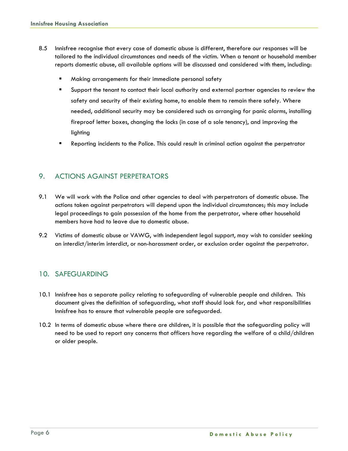- 8.5 Innisfree recognise that every case of domestic abuse is different, therefore our responses will be tailored to the individual circumstances and needs of the victim. When a tenant or household member reports domestic abuse, all available options will be discussed and considered with them, including:
	- Making arrangements for their immediate personal safety
	- Support the tenant to contact their local authority and external partner agencies to review the safety and security of their existing home, to enable them to remain there safely. Where needed, additional security may be considered such as arranging for panic alarms, installing fireproof letter boxes, changing the locks (in case of a sole tenancy), and improving the lighting
	- Reporting incidents to the Police. This could result in criminal action against the perpetrator

#### 9. ACTIONS AGAINST PERPETRATORS

- 9.1 We will work with the Police and other agencies to deal with perpetrators of domestic abuse. The actions taken against perpetrators will depend upon the individual circumstances; this may include legal proceedings to gain possession of the home from the perpetrator, where other household members have had to leave due to domestic abuse.
- 9.2 Victims of domestic abuse or VAWG, with independent legal support, may wish to consider seeking an interdict/interim interdict, or non-harassment order, or exclusion order against the perpetrator.

#### 10. SAFEGUARDING

- 10.1 Innisfree has a separate policy relating to safeguarding of vulnerable people and children. This document gives the definition of safeguarding, what staff should look for, and what responsibilities Innisfree has to ensure that vulnerable people are safeguarded.
- 10.2 In terms of domestic abuse where there are children, it is possible that the safeguarding policy will need to be used to report any concerns that officers have regarding the welfare of a child/children or older people.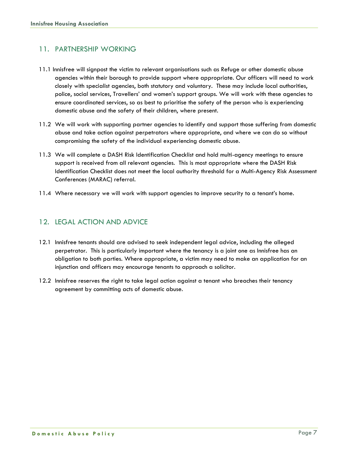#### 11. PARTNERSHIP WORKING

- 11.1 Innisfree will signpost the victim to relevant organisations such as Refuge or other domestic abuse agencies within their borough to provide support where appropriate. Our officers will need to work closely with specialist agencies, both statutory and voluntary. These may include local authorities, police, social services, Travellers' and women's support groups. We will work with these agencies to ensure coordinated services, so as best to prioritise the safety of the person who is experiencing domestic abuse and the safety of their children, where present.
- 11.2 We will work with supporting partner agencies to identify and support those suffering from domestic abuse and take action against perpetrators where appropriate, and where we can do so without compromising the safety of the individual experiencing domestic abuse.
- 11.3 We will complete a DASH Risk Identification Checklist and hold multi-agency meetings to ensure support is received from all relevant agencies. This is most appropriate where the DASH Risk Identification Checklist does not meet the local authority threshold for a Multi-Agency Risk Assessment Conferences (MARAC) referral.
- 11.4 Where necessary we will work with support agencies to improve security to a tenant's home.

### 12. LEGAL ACTION AND ADVICE

- 12.1 Innisfree tenants should are advised to seek independent legal advice, including the alleged perpetrator. This is particularly important where the tenancy is a joint one as Innisfree has an obligation to both parties. Where appropriate, a victim may need to make an application for an injunction and officers may encourage tenants to approach a solicitor.
- 12.2 Innisfree reserves the right to take legal action against a tenant who breaches their tenancy agreement by committing acts of domestic abuse.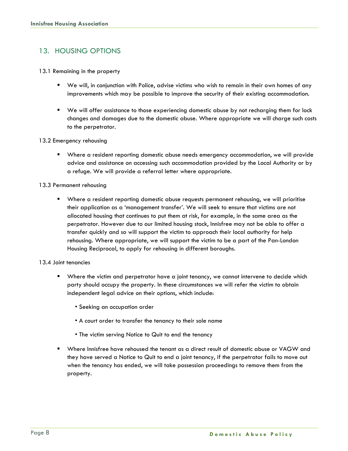### 13. HOUSING OPTIONS

#### 13.1 Remaining in the property

- We will, in conjunction with Police, advise victims who wish to remain in their own homes of any improvements which may be possible to improve the security of their existing accommodation.
- We will offer assistance to those experiencing domestic abuse by not recharging them for lock changes and damages due to the domestic abuse. Where appropriate we will charge such costs to the perpetrator.
- 13.2 Emergency rehousing
	- Where a resident reporting domestic abuse needs emergency accommodation, we will provide advice and assistance on accessing such accommodation provided by the Local Authority or by a refuge. We will provide a referral letter where appropriate.

#### 13.3 Permanent rehousing

■ Where a resident reporting domestic abuse requests permanent rehousing, we will prioritise their application as a 'management transfer'. We will seek to ensure that victims are not allocated housing that continues to put them at risk, for example, in the same area as the perpetrator. However due to our limited housing stock, Innisfree may not be able to offer a transfer quickly and so will support the victim to approach their local authority for help rehousing. Where appropriate, we will support the victim to be a part of the Pan-London Housing Reciprocal, to apply for rehousing in different boroughs.

#### 13.4 Joint tenancies

- Where the victim and perpetrator have a joint tenancy, we cannot intervene to decide which party should occupy the property. In these circumstances we will refer the victim to obtain independent legal advice on their options, which include:
	- Seeking an occupation order
	- A court order to transfer the tenancy to their sole name
	- The victim serving Notice to Quit to end the tenancy
- Where Innisfree have rehoused the tenant as a direct result of domestic abuse or VAGW and they have served a Notice to Quit to end a joint tenancy, if the perpetrator fails to move out when the tenancy has ended, we will take possession proceedings to remove them from the property.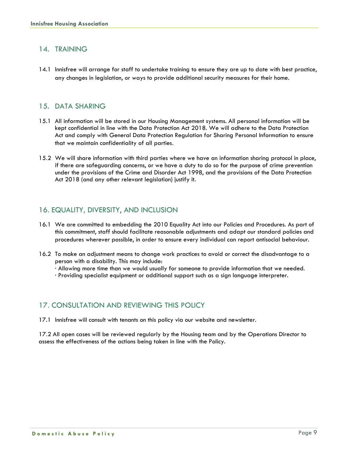#### 14. TRAINING

14.1 Innisfree will arrange for staff to undertake training to ensure they are up to date with best practice, any changes in legislation, or ways to provide additional security measures for their home.

#### 15. DATA SHARING

- 15.1 All information will be stored in our Housing Management systems. All personal information will be kept confidential in line with the Data Protection Act 2018. We will adhere to the Data Protection Act and comply with General Data Protection Regulation for Sharing Personal Information to ensure that we maintain confidentiality of all parties.
- 15.2 We will share information with third parties where we have an information sharing protocol in place, if there are safeguarding concerns, or we have a duty to do so for the purpose of crime prevention under the provisions of the Crime and Disorder Act 1998, and the provisions of the Data Protection Act 2018 (and any other relevant legislation) justify it.

#### 16. EQUALITY, DIVERSITY, AND INCLUSION

- 16.1 We are committed to embedding the 2010 Equality Act into our Policies and Procedures. As part of this commitment, staff should facilitate reasonable adjustments and adapt our standard policies and procedures wherever possible, in order to ensure every individual can report antisocial behaviour.
- 16.2 To make an adjustment means to change work practices to avoid or correct the disadvantage to a person with a disability. This may include:
	- · Allowing more time than we would usually for someone to provide information that we needed.
	- · Providing specialist equipment or additional support such as a sign language interpreter.

#### 17. CONSULTATION AND REVIEWING THIS POLICY

17.1 Innisfree will consult with tenants on this policy via our website and newsletter.

17.2 All open cases will be reviewed regularly by the Housing team and by the Operations Director to assess the effectiveness of the actions being taken in line with the Policy.